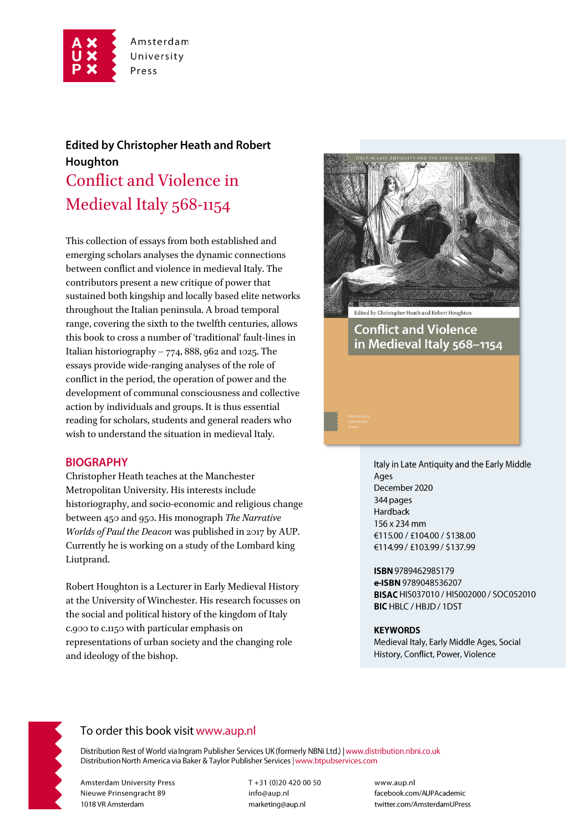

# **Edited by Christopher Heath and Robert** Houghton Conflict and Violence in Medieval Italy 568-1154

This collection of essays from both established and emerging scholars analyses the dynamic connections between conflict and violence in medieval Italy. The contributors present a new critique of power that sustained both kingship and locally based elite networks throughout the Italian peninsula. A broad temporal range, covering the sixth to the twelfth centuries, allows this book to cross a number of 'traditional' fault-lines in Italian historiography –  $774$ , 888, 962 and 1025. The essays provide wide-ranging analyses of the role of conflict in the period, the operation of power and the development of communal consciousness and collective action by individuals and groups. It is thus essential reading for scholars, students and general readers who wish to understand the situation in medieval Italy.

#### **BIOGRAPHY**

Christopher Heath teaches at the Manchester Metropolitan University. His interests include historiography, and socio-economic and religious change between 450 and 950. His monograph The Narrative Worlds of Paul the Deacon was published in 2017 by AUP. Currently he is working on a study of the Lombard king Liutprand.

Robert Houghton is a Lecturer in Early Medieval History at the University of Winchester. His research focusses on the social and political history of the kingdom of Italy c.900 to c.1150 with particular emphasis on representations of urban society and the changing role and ideology of the bishop.



**Conflict and Violence** 

in Medieval Italy 568-1154

Italy in Late Antiquity and the Early Middle Ages December 2020 344 pages Hardback 156 x 234 mm €115.00 / £104.00 / \$138.00 €114.99 / £103.99 / \$137.99

ISBN 9789462985179 e-ISBN 9789048536207 BISAC HIS037010 / HIS002000 / SOC052010 BIC HBLC / HBJD / 1DST

#### **KEYWORDS**

Medieval Italy, Early Middle Ages, Social History, Conflict, Power, Violence



# To order this book visit www.aup.nl

Distribution Rest of World via Ingram Publisher Services UK (formerly NBNi Ltd.) | www.distribution.nbni.co.uk Distribution North America via Baker & Taylor Publisher Services | www.btpubservices.com

**Amsterdam University Press** Nieuwe Prinsengracht 89 1018 VR Amsterdam

T+31 (0)20 420 00 50 info@aup.nl marketing@aup.nl

www.aup.nl facebook.com/AUPAcademic twitter.com/AmsterdamUPress